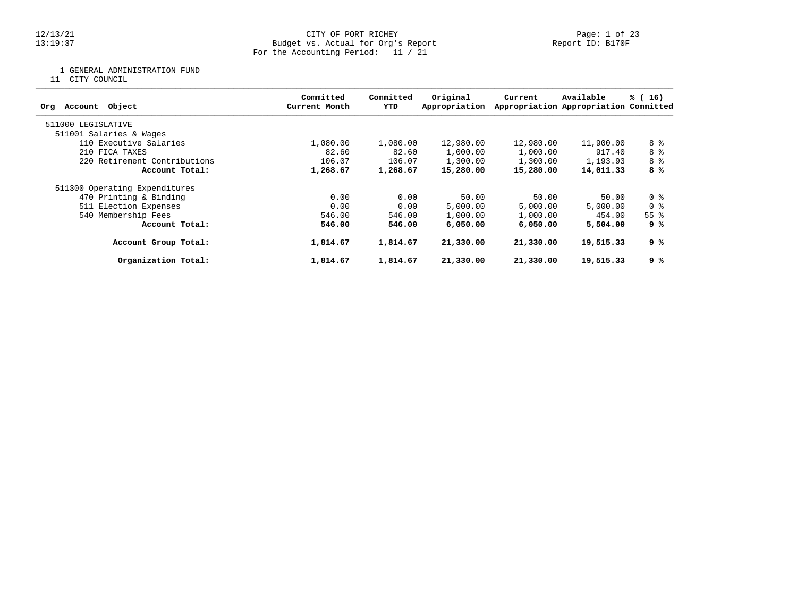### 12/13/21 CITY OF PORT RICHEY Page: 1 of 23 13:19:37 Budget vs. Actual for Org's Report Report ID: B170F For the Accounting Period: 11 / 21

1 GENERAL ADMINISTRATION FUND

11 CITY COUNCIL

| Object<br>Account<br>Org      | Committed<br>Current Month | Committed<br>YTD | Original<br>Appropriation | Current   | Available<br>Appropriation Appropriation Committed | % (16)             |
|-------------------------------|----------------------------|------------------|---------------------------|-----------|----------------------------------------------------|--------------------|
| 511000 LEGISLATIVE            |                            |                  |                           |           |                                                    |                    |
| 511001 Salaries & Wages       |                            |                  |                           |           |                                                    |                    |
| 110 Executive Salaries        | 1,080.00                   | 1,080.00         | 12,980.00                 | 12,980.00 | 11,900.00                                          | 8 %                |
| 210 FICA TAXES                | 82.60                      | 82.60            | 1,000.00                  | 1,000.00  | 917.40                                             | 8 %                |
| 220 Retirement Contributions  | 106.07                     | 106.07           | 1,300.00                  | 1,300.00  | 1,193.93                                           | 8 %                |
| Account Total:                | 1,268.67                   | 1,268.67         | 15,280.00                 | 15,280.00 | 14,011.33                                          | 8 %                |
| 511300 Operating Expenditures |                            |                  |                           |           |                                                    |                    |
| 470 Printing & Binding        | 0.00                       | 0.00             | 50.00                     | 50.00     | 50.00                                              | 0 %                |
| 511 Election Expenses         | 0.00                       | 0.00             | 5,000.00                  | 5,000.00  | 5,000.00                                           | 0 <sub>8</sub>     |
| 540 Membership Fees           | 546.00                     | 546.00           | 1,000.00                  | 1,000.00  | 454.00                                             | $55$ $\frac{6}{3}$ |
| Account Total:                | 546.00                     | 546.00           | 6,050,00                  | 6,050,00  | 5,504.00                                           | 9 %                |
| Account Group Total:          | 1,814.67                   | 1,814.67         | 21,330.00                 | 21,330.00 | 19,515.33                                          | ९ %                |
| Organization Total:           | 1,814.67                   | 1,814.67         | 21,330.00                 | 21,330.00 | 19,515.33                                          | 9 %                |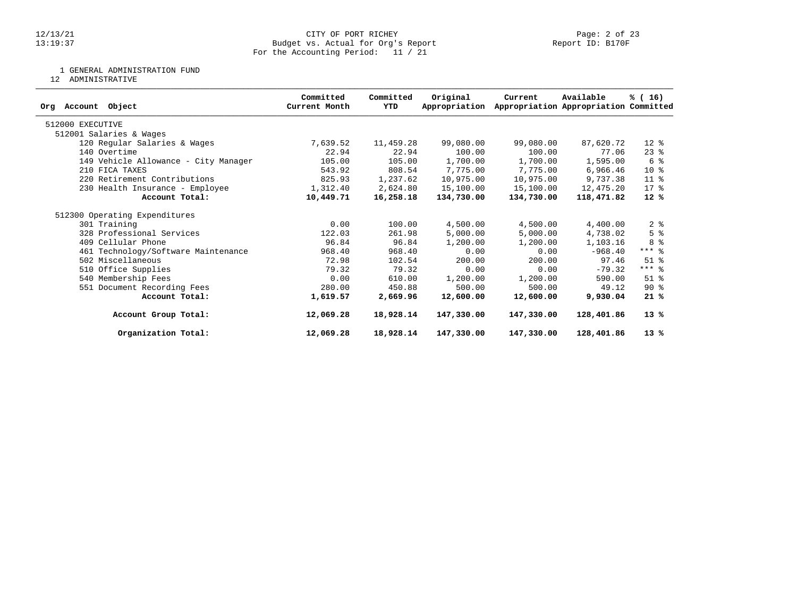### 12/13/21 CITY OF PORT RICHEY Page: 2 of 23 13:19:37 Budget vs. Actual for Org's Report Report ID: B170F For the Accounting Period: 11 / 21

1 GENERAL ADMINISTRATION FUND

12 ADMINISTRATIVE

| Org Account Object                   | Committed<br>Current Month | Committed<br>YTD | Original<br>Appropriation | Current    | Available<br>Appropriation Appropriation Committed | % (16)         |
|--------------------------------------|----------------------------|------------------|---------------------------|------------|----------------------------------------------------|----------------|
|                                      |                            |                  |                           |            |                                                    |                |
| 512000 EXECUTIVE                     |                            |                  |                           |            |                                                    |                |
| 512001 Salaries & Wages              |                            |                  |                           |            |                                                    |                |
| 120 Regular Salaries & Wages         | 7,639.52                   | 11,459.28        | 99,080.00                 | 99,080.00  | 87,620.72                                          | $12*$          |
| 140 Overtime                         | 22.94                      | 22.94            | 100.00                    | 100.00     | 77.06                                              | $23$ $%$       |
| 149 Vehicle Allowance - City Manager | 105.00                     | 105.00           | 1,700.00                  | 1,700.00   | 1,595.00                                           | 6 %            |
| 210 FICA TAXES                       | 543.92                     | 808.54           | 7,775.00                  | 7,775.00   | 6,966.46                                           | $10*$          |
| 220 Retirement Contributions         | 825.93                     | 1,237.62         | 10,975.00                 | 10,975.00  | 9,737.38                                           | $11$ %         |
| 230 Health Insurance - Employee      | 1,312.40                   | 2,624.80         | 15,100.00                 | 15,100.00  | 12,475.20                                          | $17*$          |
| Account Total:                       | 10,449.71                  | 16,258.18        | 134,730.00                | 134,730.00 | 118,471.82                                         | $12*$          |
| 512300 Operating Expenditures        |                            |                  |                           |            |                                                    |                |
| 301 Training                         | 0.00                       | 100.00           | 4,500.00                  | 4,500.00   | 4,400.00                                           | 2 <sup>8</sup> |
| 328 Professional Services            | 122.03                     | 261.98           | 5,000.00                  | 5,000.00   | 4,738.02                                           | 5 <sup>8</sup> |
| 409 Cellular Phone                   | 96.84                      | 96.84            | 1,200.00                  | 1,200.00   | 1,103.16                                           | 8 %            |
| 461 Technology/Software Maintenance  | 968.40                     | 968.40           | 0.00                      | 0.00       | $-968.40$                                          | $***$ $%$      |
| 502 Miscellaneous                    | 72.98                      | 102.54           | 200.00                    | 200.00     | 97.46                                              | $51$ %         |
| 510 Office Supplies                  | 79.32                      | 79.32            | 0.00                      | 0.00       | $-79.32$                                           | $***$ 2        |
| 540 Membership Fees                  | 0.00                       | 610.00           | 1,200.00                  | 1,200.00   | 590.00                                             | $51$ $%$       |
| 551 Document Recording Fees          | 280.00                     | 450.88           | 500.00                    | 500.00     | 49.12                                              | $90*$          |
| Account Total:                       | 1,619.57                   | 2,669.96         | 12,600.00                 | 12,600.00  | 9,930.04                                           | 21%            |
| Account Group Total:                 | 12,069.28                  | 18,928.14        | 147,330.00                | 147,330.00 | 128,401.86                                         | $13*$          |
| Organization Total:                  | 12,069.28                  | 18,928.14        | 147,330.00                | 147,330.00 | 128,401.86                                         | $13*$          |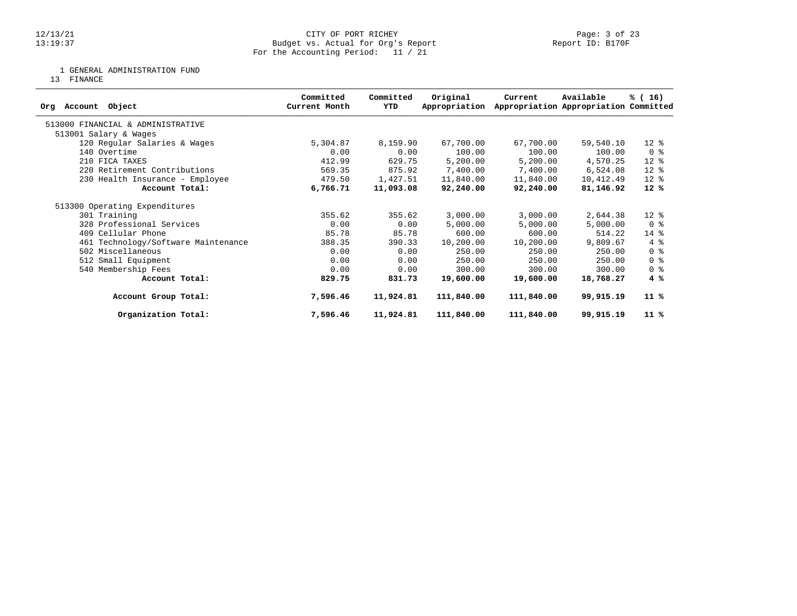1 GENERAL ADMINISTRATION FUND

13 FINANCE

| Object<br>Account<br>Orq            | Committed<br>Current Month | Committed<br>YTD | Original<br>Appropriation | Current    | Available<br>Appropriation Appropriation Committed | % (16)                             |
|-------------------------------------|----------------------------|------------------|---------------------------|------------|----------------------------------------------------|------------------------------------|
| 513000 FINANCIAL & ADMINISTRATIVE   |                            |                  |                           |            |                                                    |                                    |
| 513001 Salary & Wages               |                            |                  |                           |            |                                                    |                                    |
| 120 Regular Salaries & Wages        | 5,304.87                   | 8,159.90         | 67,700.00                 | 67,700.00  | 59,540.10                                          | $12*$                              |
| 140 Overtime                        | 0.00                       | 0.00             | 100.00                    | 100.00     | 100.00                                             | 0 <sub>8</sub>                     |
| 210 FICA TAXES                      | 412.99                     | 629.75           | 5,200.00                  | 5,200.00   | 4,570.25                                           | $12*$                              |
| 220 Retirement Contributions        | 569.35                     | 875.92           | 7,400.00                  | 7,400.00   | 6,524.08                                           | $12*$                              |
| 230 Health Insurance - Employee     | 479.50                     | 1,427.51         | 11,840.00                 | 11,840.00  | 10,412.49                                          | $12*$                              |
| Account Total:                      | 6,766.71                   | 11,093.08        | 92,240.00                 | 92,240.00  | 81,146.92                                          | $12*$                              |
| 513300 Operating Expenditures       |                            |                  |                           |            |                                                    |                                    |
| 301 Training                        | 355.62                     | 355.62           | 3,000.00                  | 3,000.00   | 2,644.38                                           | $12*$                              |
| 328 Professional Services           | 0.00                       | 0.00             | 5,000.00                  | 5,000.00   | 5,000.00                                           | 0 <sub>8</sub>                     |
| 409 Cellular Phone                  | 85.78                      | 85.78            | 600.00                    | 600.00     | 514.22                                             | $14$ %                             |
| 461 Technology/Software Maintenance | 388.35                     | 390.33           | 10,200.00                 | 10,200.00  | 9,809.67                                           | 4%                                 |
| 502 Miscellaneous                   | 0.00                       | 0.00             | 250.00                    | 250.00     | 250.00                                             | $0 \text{ }$ $\text{ }$ $\text{ }$ |
| 512 Small Equipment                 | 0.00                       | 0.00             | 250.00                    | 250.00     | 250.00                                             | 0 <sup>8</sup>                     |
| 540 Membership Fees                 | 0.00                       | 0.00             | 300.00                    | 300.00     | 300.00                                             | 0 <sup>8</sup>                     |
| Account Total:                      | 829.75                     | 831.73           | 19,600.00                 | 19,600.00  | 18,768.27                                          | 4%                                 |
| Account Group Total:                | 7,596.46                   | 11,924.81        | 111,840.00                | 111,840.00 | 99,915.19                                          | $11$ %                             |
| Organization Total:                 | 7,596.46                   | 11,924.81        | 111,840.00                | 111,840.00 | 99,915.19                                          | $11*$                              |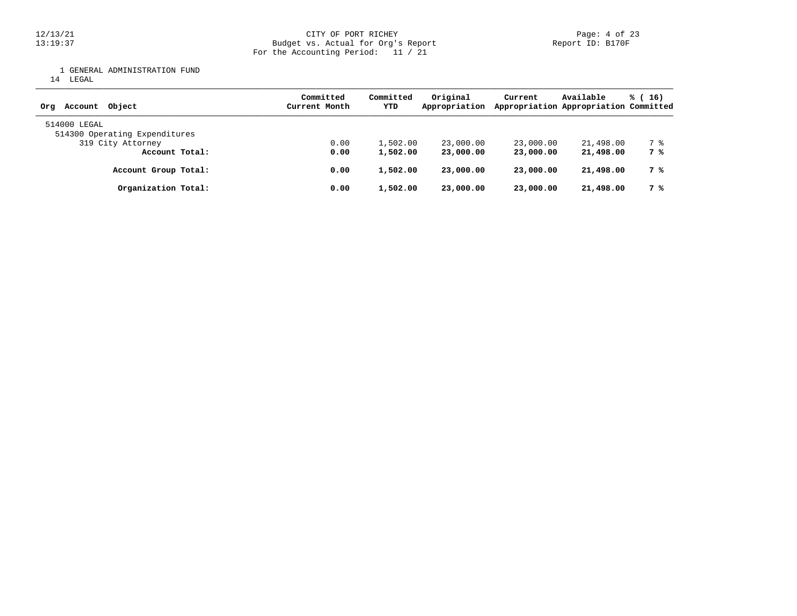12/13/21 CITY OF PORT RICHEY Page: 4 of 23 13:19:37 Budget vs. Actual for Org's Report Report ID: B170F For the Accounting Period: 11 / 21

1 GENERAL ADMINISTRATION FUND

14 LEGAL

| Obiect<br>Account<br>Orq                      | Committed<br>Current Month | Committed<br>YTD | Original<br>Appropriation | Current   | Available<br>Appropriation Appropriation Committed | $\frac{1}{6}$ (16) |  |
|-----------------------------------------------|----------------------------|------------------|---------------------------|-----------|----------------------------------------------------|--------------------|--|
| 514000 LEGAL<br>514300 Operating Expenditures |                            |                  |                           |           |                                                    |                    |  |
| 319 City Attorney                             | 0.00                       | 1,502.00         | 23,000.00                 | 23,000.00 | 21,498.00                                          | 7 %                |  |
| Account Total:                                | 0.00                       | 1,502.00         | 23,000.00                 | 23,000,00 | 21,498.00                                          | 7 %                |  |
| Account Group Total:                          | 0.00                       | 1,502.00         | 23,000.00                 | 23,000,00 | 21,498.00                                          | 7 %                |  |
| Organization Total:                           | 0.00                       | 1,502.00         | 23,000.00                 | 23,000,00 | 21,498.00                                          | 7 %                |  |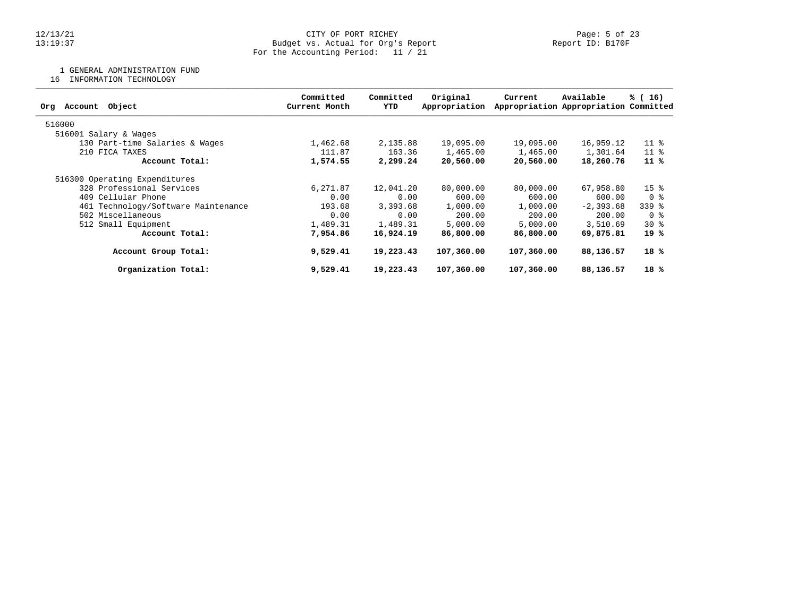1 GENERAL ADMINISTRATION FUND

16 INFORMATION TECHNOLOGY

| Committed<br>Current Month | Committed<br>YTD | Original<br>Appropriation | Current                                                                                                                    | Available     | % (16)                                                                                                                                                                        |
|----------------------------|------------------|---------------------------|----------------------------------------------------------------------------------------------------------------------------|---------------|-------------------------------------------------------------------------------------------------------------------------------------------------------------------------------|
|                            |                  |                           |                                                                                                                            |               |                                                                                                                                                                               |
|                            |                  |                           |                                                                                                                            |               |                                                                                                                                                                               |
| 1,462.68                   |                  | 19,095.00                 |                                                                                                                            | 16,959.12     | 11 <sup>°</sup>                                                                                                                                                               |
| 111.87                     |                  | 1,465.00                  |                                                                                                                            | 1,301.64      | $11*$                                                                                                                                                                         |
| 1,574.55                   |                  | 20,560.00                 |                                                                                                                            | 18,260.76     | 11 %                                                                                                                                                                          |
|                            |                  |                           |                                                                                                                            |               |                                                                                                                                                                               |
| 6,271.87                   |                  | 80,000.00                 |                                                                                                                            | 67,958.80     | 15 <sup>8</sup>                                                                                                                                                               |
| 0.00                       |                  | 600.00                    |                                                                                                                            | 600.00        | 0 <sup>8</sup>                                                                                                                                                                |
| 193.68                     |                  | 1,000.00                  |                                                                                                                            | $-2, 393, 68$ | $339$ $%$                                                                                                                                                                     |
| 0.00                       |                  | 200.00                    |                                                                                                                            | 200.00        | 0 %                                                                                                                                                                           |
| 1,489.31                   |                  | 5,000.00                  |                                                                                                                            | 3,510.69      | $30*$                                                                                                                                                                         |
| 7,954.86                   |                  | 86,800.00                 |                                                                                                                            | 69,875.81     | 19 %                                                                                                                                                                          |
| 9,529.41                   |                  | 107,360.00                |                                                                                                                            | 88,136.57     | 18 %                                                                                                                                                                          |
| 9,529.41                   |                  | 107,360.00                |                                                                                                                            | 88,136.57     | 18 %                                                                                                                                                                          |
|                            |                  |                           | 2,135.88<br>163.36<br>2,299.24<br>12,041.20<br>0.00<br>3,393.68<br>0.00<br>1,489.31<br>16,924.19<br>19,223.43<br>19,223.43 |               | Appropriation Appropriation Committed<br>19,095.00<br>1,465.00<br>20,560.00<br>80,000,00<br>600.00<br>1,000.00<br>200.00<br>5,000.00<br>86,800.00<br>107,360.00<br>107,360.00 |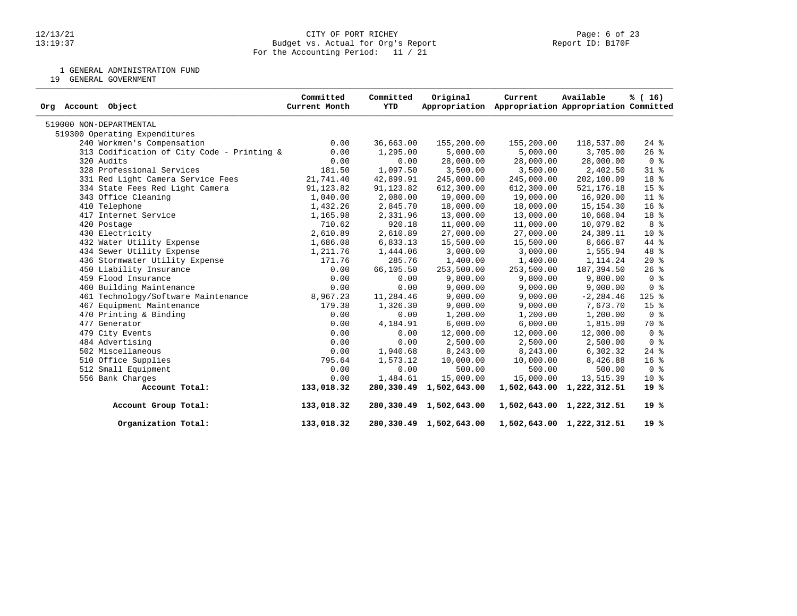### 12/13/21 CITY OF PORT RICHEY Page: 6 of 23 13:19:37 Budget vs. Actual for Org's Report Report ID: B170F For the Accounting Period: 11 / 21

1 GENERAL ADMINISTRATION FUND

19 GENERAL GOVERNMENT

| Org Account Object                         | Committed<br>Current Month | Committed<br>YTD | Original<br>Appropriation | Current    | Available<br>Appropriation Appropriation Committed | % (16)          |
|--------------------------------------------|----------------------------|------------------|---------------------------|------------|----------------------------------------------------|-----------------|
| 519000 NON-DEPARTMENTAL                    |                            |                  |                           |            |                                                    |                 |
| 519300 Operating Expenditures              |                            |                  |                           |            |                                                    |                 |
| 240 Workmen's Compensation                 | 0.00                       | 36,663.00        | 155,200.00                | 155,200.00 | 118,537.00                                         | $24$ %          |
| 313 Codification of City Code - Printing & | 0.00                       | 1,295.00         | 5,000.00                  | 5,000.00   | 3,705.00                                           | $26$ %          |
| 320 Audits                                 | 0.00                       | 0.00             | 28,000.00                 | 28,000.00  | 28,000.00                                          | 0 <sup>8</sup>  |
| 328 Professional Services                  | 181.50                     | 1,097.50         | 3,500.00                  | 3,500.00   | 2,402.50                                           | $31$ %          |
| 331 Red Light Camera Service Fees          | 21,741.40                  | 42,899.91        | 245,000.00                | 245,000.00 | 202,100.09                                         | 18 %            |
| 334 State Fees Red Light Camera            | 91, 123.82                 | 91,123.82        | 612,300.00                | 612,300.00 | 521, 176. 18                                       | 15 %            |
| 343 Office Cleaning                        | 1,040.00                   | 2,080.00         | 19,000.00                 | 19,000.00  | 16,920.00                                          | $11*$           |
| 410 Telephone                              | 1,432.26                   | 2,845.70         | 18,000.00                 | 18,000.00  | 15,154.30                                          | 16 <sup>°</sup> |
| 417 Internet Service                       | 1,165.98                   | 2,331.96         | 13,000.00                 | 13,000.00  | 10,668.04                                          | 18 %            |
| 420 Postage                                | 710.62                     | 920.18           | 11,000.00                 | 11,000.00  | 10,079.82                                          | 8 %             |
| 430 Electricity                            | 2,610.89                   | 2,610.89         | 27,000.00                 | 27,000.00  | 24,389.11                                          | $10*$           |
| 432 Water Utility Expense                  | 1,686.08                   | 6,833.13         | 15,500.00                 | 15,500.00  | 8,666.87                                           | 44 %            |
| 434 Sewer Utility Expense                  | 1,211.76                   | 1,444.06         | 3,000.00                  | 3,000.00   | 1,555.94                                           | 48 %            |
| 436 Stormwater Utility Expense             | 171.76                     | 285.76           | 1,400.00                  | 1,400.00   | 1,114.24                                           | $20*$           |
| 450 Liability Insurance                    | 0.00                       | 66,105.50        | 253,500.00                | 253,500.00 | 187,394.50                                         | $26$ $%$        |
| 459 Flood Insurance                        | 0.00                       | 0.00             | 9,800.00                  | 9,800.00   | 9,800.00                                           | 0 <sup>8</sup>  |
| 460 Building Maintenance                   | 0.00                       | 0.00             | 9,000.00                  | 9,000.00   | 9,000.00                                           | 0 <sup>8</sup>  |
| 461 Technology/Software Maintenance        | 8,967.23                   | 11,284.46        | 9,000.00                  | 9,000.00   | $-2, 284.46$                                       | $125$ %         |
| 467 Equipment Maintenance                  | 179.38                     | 1,326.30         | 9,000.00                  | 9,000.00   | 7,673.70                                           | 15 <sup>8</sup> |
| 470 Printing & Binding                     | 0.00                       | 0.00             | 1,200.00                  | 1,200.00   | 1,200.00                                           | 0 <sup>8</sup>  |
| 477 Generator                              | 0.00                       | 4,184.91         | 6,000.00                  | 6,000.00   | 1,815.09                                           | 70 %            |
| 479 City Events                            | 0.00                       | 0.00             | 12,000.00                 | 12,000.00  | 12,000.00                                          | 0 <sub>8</sub>  |
| 484 Advertising                            | 0.00                       | 0.00             | 2,500.00                  | 2,500.00   | 2,500.00                                           | 0 <sub>8</sub>  |
| 502 Miscellaneous                          | 0.00                       | 1,940.68         | 8,243.00                  | 8,243.00   | 6,302.32                                           | $24$ %          |
| 510 Office Supplies                        | 795.64                     | 1,573.12         | 10,000.00                 | 10,000.00  | 8,426.88                                           | 16 <sup>°</sup> |
| 512 Small Equipment                        | 0.00                       | 0.00             | 500.00                    | 500.00     | 500.00                                             | 0 <sup>8</sup>  |
| 556 Bank Charges                           | 0.00                       | 1,484.61         | 15,000.00                 | 15,000.00  | 13,515.39                                          | $10*$           |
| Account Total:                             | 133,018.32                 | 280,330.49       | 1,502,643.00              |            | 1,502,643.00 1,222,312.51                          | $19*$           |
| Account Group Total:                       | 133,018.32                 |                  | 280,330.49 1,502,643.00   |            | 1,502,643.00 1,222,312.51                          | 19%             |
| Organization Total:                        | 133,018.32                 |                  | 280,330.49 1,502,643.00   |            | 1,502,643.00 1,222,312.51                          | 19%             |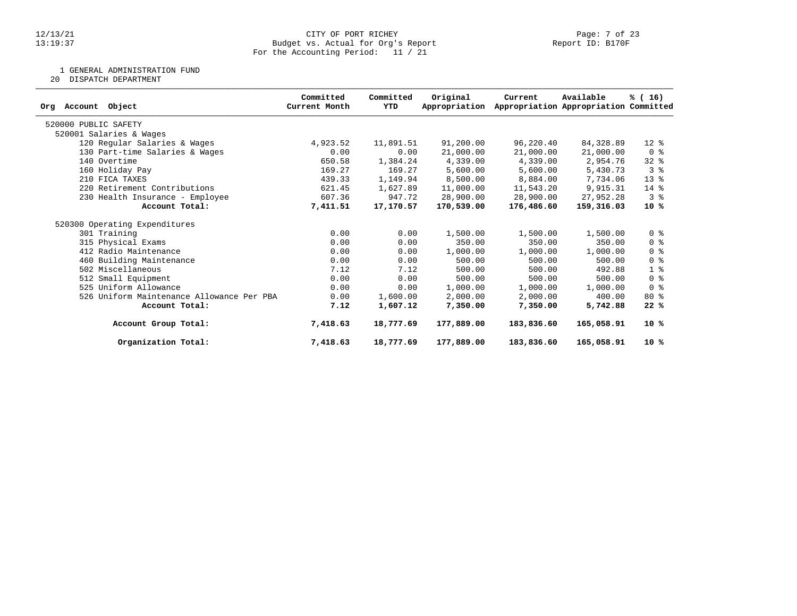### 12/13/21 CITY OF PORT RICHEY Page: 7 of 23 13:19:37 Budget vs. Actual for Org's Report Report ID: B170F For the Accounting Period: 11 / 21

1 GENERAL ADMINISTRATION FUND

20 DISPATCH DEPARTMENT

| Object<br>Account<br>Org                  | Committed<br>Current Month | Committed<br>YTD | Original<br>Appropriation | Current    | Available<br>Appropriation Appropriation Committed | % (16)         |
|-------------------------------------------|----------------------------|------------------|---------------------------|------------|----------------------------------------------------|----------------|
|                                           |                            |                  |                           |            |                                                    |                |
| 520000 PUBLIC SAFETY                      |                            |                  |                           |            |                                                    |                |
| 520001 Salaries & Wages                   |                            |                  |                           |            |                                                    |                |
| 120 Regular Salaries & Wages              | 4,923.52                   | 11,891.51        | 91,200.00                 | 96,220.40  | 84,328.89                                          | $12*$          |
| 130 Part-time Salaries & Wages            | 0.00                       | 0.00             | 21,000.00                 | 21,000.00  | 21,000.00                                          | 0 <sup>8</sup> |
| 140 Overtime                              | 650.58                     | 1,384.24         | 4,339.00                  | 4,339.00   | 2,954.76                                           | $32$ $%$       |
| 160 Holiday Pay                           | 169.27                     | 169.27           | 5,600.00                  | 5,600.00   | 5,430.73                                           | 3 <sup>8</sup> |
| 210 FICA TAXES                            | 439.33                     | 1,149.94         | 8,500.00                  | 8,884.00   | 7,734.06                                           | $13*$          |
| 220 Retirement Contributions              | 621.45                     | 1,627.89         | 11,000.00                 | 11,543.20  | 9,915.31                                           | $14*$          |
| 230 Health Insurance - Employee           | 607.36                     | 947.72           | 28,900.00                 | 28,900.00  | 27,952.28                                          | 3 <sup>8</sup> |
| Account Total:                            | 7,411.51                   | 17,170.57        | 170,539.00                | 176,486.60 | 159,316.03                                         | $10*$          |
| 520300 Operating Expenditures             |                            |                  |                           |            |                                                    |                |
| 301 Training                              | 0.00                       | 0.00             | 1,500.00                  | 1,500.00   | 1,500.00                                           | 0 <sup>8</sup> |
| 315 Physical Exams                        | 0.00                       | 0.00             | 350.00                    | 350.00     | 350.00                                             | 0 <sup>8</sup> |
| 412 Radio Maintenance                     | 0.00                       | 0.00             | 1,000.00                  | 1,000.00   | 1,000.00                                           | 0 <sup>8</sup> |
| 460 Building Maintenance                  | 0.00                       | 0.00             | 500.00                    | 500.00     | 500.00                                             | 0 <sup>8</sup> |
| 502 Miscellaneous                         | 7.12                       | 7.12             | 500.00                    | 500.00     | 492.88                                             | 1 <sup>°</sup> |
| 512 Small Equipment                       | 0.00                       | 0.00             | 500.00                    | 500.00     | 500.00                                             | 0 <sup>8</sup> |
| 525 Uniform Allowance                     | 0.00                       | 0.00             | 1,000.00                  | 1,000.00   | 1,000.00                                           | 0 <sup>8</sup> |
| 526 Uniform Maintenance Allowance Per PBA | 0.00                       | 1,600.00         | 2,000.00                  | 2,000.00   | 400.00                                             | $80*$          |
| Account Total:                            | 7.12                       | 1,607.12         | 7,350.00                  | 7,350.00   | 5,742.88                                           | 22%            |
| Account Group Total:                      | 7,418.63                   | 18,777.69        | 177,889.00                | 183,836.60 | 165,058.91                                         | $10*$          |
| Organization Total:                       | 7,418.63                   | 18,777.69        | 177,889.00                | 183,836.60 | 165,058.91                                         | $10*$          |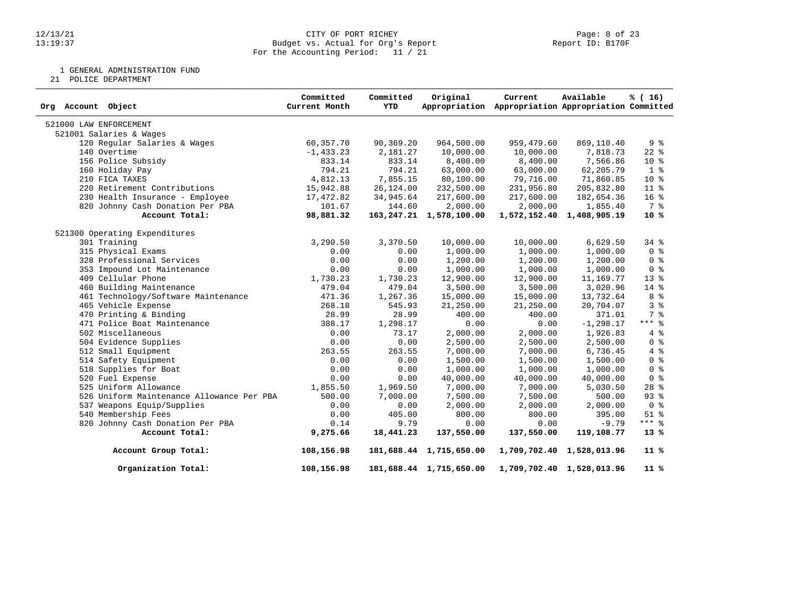### 12/13/21 CITY OF PORT RICHEY Page: 8 of 23 13:19:37 Budget vs. Actual for Org's Report Report ID: B170F For the Accounting Period: 11 / 21

1 GENERAL ADMINISTRATION FUND

21 POLICE DEPARTMENT

| Org Account Object                        | Committed<br>Current Month | Committed<br>YTD | Original                     | Current<br>Appropriation Appropriation Appropriation Committed | Available                 | % (16)          |
|-------------------------------------------|----------------------------|------------------|------------------------------|----------------------------------------------------------------|---------------------------|-----------------|
| 521000 LAW ENFORCEMENT                    |                            |                  |                              |                                                                |                           |                 |
| 521001 Salaries & Wages                   |                            |                  |                              |                                                                |                           |                 |
| 120 Regular Salaries & Wages              | 60,357.70                  | 90,369.20        | 964,500.00                   | 959,479.60                                                     | 869,110.40                | 9%              |
| 140 Overtime                              | $-1, 433.23$               | 2,181.27         | 10,000.00                    | 10,000.00                                                      | 7,818.73                  | $22$ $%$        |
| 156 Police Subsidy                        | 833.14                     | 833.14           | 8,400.00                     | 8,400.00                                                       | 7,566.86                  | 10 <sup>°</sup> |
| 160 Holiday Pay                           | 794.21                     | 794.21           | 63,000.00                    | 63,000.00                                                      | 62,205.79                 | 1 <sup>8</sup>  |
| 210 FICA TAXES                            | 4,812.13                   | 7,855.15         | 80,100.00                    | 79,716.00                                                      | 71,860.85                 | 10 %            |
| 220 Retirement Contributions              | 15,942.88                  | 26,124.00        | 232,500.00                   | 231,956.80                                                     | 205,832.80                | $11*$           |
| 230 Health Insurance - Employee           | 17,472.82                  | 34,945.64        | 217,600.00                   | 217,600.00                                                     | 182,654.36                | 16 <sup>8</sup> |
| 820 Johnny Cash Donation Per PBA          | 101.67                     | 144.60           | 2,000.00                     | 2,000.00                                                       | 1,855.40                  | 7 %             |
| Account Total:                            | 98,881.32                  |                  | 163, 247. 21 1, 578, 100. 00 |                                                                | 1,572,152.40 1,408,905.19 | $10*$           |
| 521300 Operating Expenditures             |                            |                  |                              |                                                                |                           |                 |
| 301 Training                              | 3,290.50                   | 3,370.50         | 10,000.00                    | 10,000.00                                                      | 6,629.50                  | $34$ $%$        |
| 315 Physical Exams                        | 0.00                       | 0.00             | 1,000.00                     | 1,000.00                                                       | 1,000.00                  | 0 <sup>8</sup>  |
| 328 Professional Services                 | 0.00                       | 0.00             | 1,200.00                     | 1,200.00                                                       | 1,200.00                  | 0 <sup>8</sup>  |
| 353 Impound Lot Maintenance               | 0.00                       | 0.00             | 1,000.00                     | 1,000.00                                                       | 1,000.00                  | 0 <sup>8</sup>  |
| 409 Cellular Phone                        | 1,730.23                   | 1,730.23         | 12,900.00                    | 12,900.00                                                      | 11,169.77                 | 13 <sup>°</sup> |
| 460 Building Maintenance                  | 479.04                     | 479.04           | 3,500.00                     | 3,500.00                                                       | 3,020.96                  | 14 %            |
| 461 Technology/Software Maintenance       | 471.36                     | 1,267.36         | 15,000.00                    | 15,000.00                                                      | 13,732.64                 | 8 %             |
| 465 Vehicle Expense                       | 268.18                     | 545.93           | 21,250.00                    | 21,250.00                                                      | 20,704.07                 | 3 <sup>8</sup>  |
| 470 Printing & Binding                    | 28.99                      | 28.99            | 400.00                       | 400.00                                                         | 371.01                    | 7 %             |
| 471 Police Boat Maintenance               | 388.17                     | 1,298.17         | 0.00                         | 0.00                                                           | $-1, 298.17$              | $***$ $%$       |
| 502 Miscellaneous                         | 0.00                       | 73.17            | 2,000.00                     | 2,000.00                                                       | 1,926.83                  | 4%              |
| 504 Evidence Supplies                     | 0.00                       | 0.00             | 2,500.00                     | 2,500.00                                                       | 2,500.00                  | 0 <sup>8</sup>  |
| 512 Small Equipment                       | 263.55                     | 263.55           | 7,000.00                     | 7,000.00                                                       | 6,736.45                  | 4%              |
| 514 Safety Equipment                      | 0.00                       | 0.00             | 1,500.00                     | 1,500.00                                                       | 1,500.00                  | 0 <sup>8</sup>  |
| 518 Supplies for Boat                     | 0.00                       | 0.00             | 1,000.00                     | 1,000.00                                                       | 1,000.00                  | 0 <sup>8</sup>  |
| 520 Fuel Expense                          | 0.00                       | 0.00             | 40,000.00                    | 40,000.00                                                      | 40,000.00                 | 0 <sup>8</sup>  |
| 525 Uniform Allowance                     | 1,855.50                   | 1,969.50         | 7,000.00                     | 7,000.00                                                       | 5,030.50                  | $28$ $%$        |
| 526 Uniform Maintenance Allowance Per PBA | 500.00                     | 7,000.00         | 7,500.00                     | 7,500.00                                                       | 500.00                    | $93$ $%$        |
| 537 Weapons Equip/Supplies                | 0.00                       | 0.00             | 2,000.00                     | 2,000.00                                                       | 2,000.00                  | 0 <sup>8</sup>  |
| 540 Membership Fees                       | 0.00                       | 405.00           | 800.00                       | 800.00                                                         | 395.00                    | $51$ %          |
| 820 Johnny Cash Donation Per PBA          | 0.14                       | 9.79             | 0.00                         | 0.00                                                           | $-9.79$                   | $***$ 8         |
| Account Total:                            | 9,275.66                   | 18,441.23        | 137,550.00                   | 137,550.00                                                     | 119,108.77                | $13*$           |
| Account Group Total:                      | 108,156.98                 |                  | 181,688.44 1,715,650.00      |                                                                | 1,709,702.40 1,528,013.96 | $11*$           |
| Organization Total:                       | 108,156.98                 |                  | 181,688.44 1,715,650.00      |                                                                | 1,709,702.40 1,528,013.96 | 11 %            |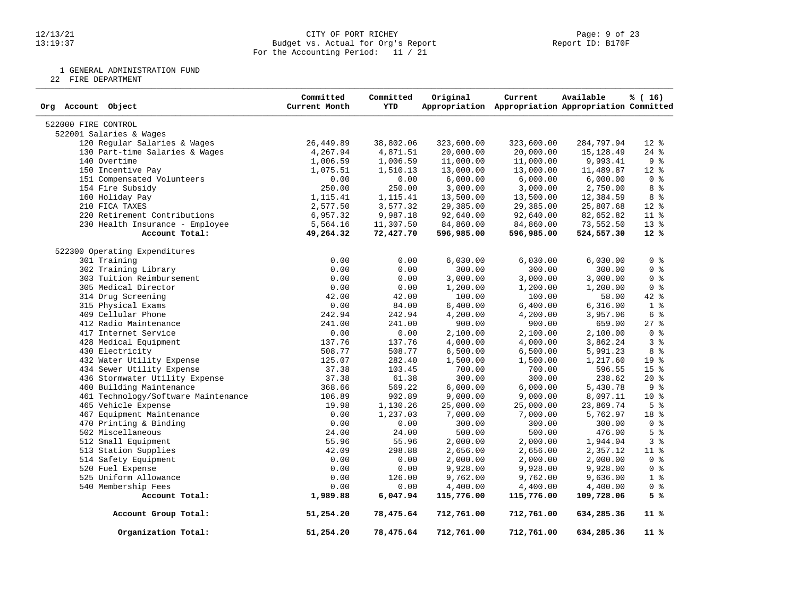### 12/13/21 CITY OF PORT RICHEY Page: 9 of 23 13:19:37 Budget vs. Actual for Org's Report Report ID: B170F For the Accounting Period: 11 / 21

1 GENERAL ADMINISTRATION FUND

22 FIRE DEPARTMENT

| Org Account Object                  | Committed<br>Current Month | Committed<br><b>YTD</b> | Original   | Current<br>Appropriation Appropriation Appropriation Committed | Available  | % (16)         |
|-------------------------------------|----------------------------|-------------------------|------------|----------------------------------------------------------------|------------|----------------|
| 522000 FIRE CONTROL                 |                            |                         |            |                                                                |            |                |
| 522001 Salaries & Wages             |                            |                         |            |                                                                |            |                |
| 120 Regular Salaries & Wages        | 26,449.89                  | 38,802.06               | 323,600.00 | 323,600.00                                                     | 284,797.94 | $12*$          |
| 130 Part-time Salaries & Wages      | 4,267.94                   | 4,871.51                | 20,000.00  | 20,000.00                                                      | 15,128.49  | $24$ %         |
| 140 Overtime                        | 1,006.59                   | 1,006.59                | 11,000.00  | 11,000.00                                                      | 9,993.41   | 9%             |
| 150 Incentive Pay                   | 1,075.51                   | 1,510.13                | 13,000.00  | 13,000.00                                                      | 11,489.87  | $12*$          |
| 151 Compensated Volunteers          | 0.00                       | 0.00                    | 6,000.00   | 6,000.00                                                       | 6,000.00   | 0 <sup>8</sup> |
| 154 Fire Subsidy                    | 250.00                     | 250.00                  | 3,000.00   | 3,000.00                                                       | 2,750.00   | 8 %            |
| 160 Holiday Pay                     | 1,115.41                   | 1,115.41                | 13,500.00  | 13,500.00                                                      | 12,384.59  | 8 %            |
| 210 FICA TAXES                      | 2,577.50                   | 3,577.32                | 29,385.00  | 29,385.00                                                      | 25,807.68  | $12$ %         |
| 220 Retirement Contributions        | 6,957.32                   | 9,987.18                | 92,640.00  | 92,640.00                                                      | 82,652.82  | $11*$          |
| 230 Health Insurance - Employee     | 5,564.16                   | 11,307.50               | 84,860.00  | 84,860.00                                                      | 73,552.50  | $13*$          |
| Account Total:                      | 49,264.32                  | 72,427.70               | 596,985.00 | 596,985.00                                                     | 524,557.30 | $12*$          |
| 522300 Operating Expenditures       |                            |                         |            |                                                                |            |                |
| 301 Training                        | 0.00                       | 0.00                    | 6,030.00   | 6,030.00                                                       | 6,030.00   | 0 <sup>8</sup> |
| 302 Training Library                | 0.00                       | 0.00                    | 300.00     | 300.00                                                         | 300.00     | 0 <sup>8</sup> |
| 303 Tuition Reimbursement           | 0.00                       | 0.00                    | 3,000.00   | 3,000.00                                                       | 3,000.00   | 0 <sup>8</sup> |
| 305 Medical Director                | 0.00                       | 0.00                    | 1,200.00   | 1,200.00                                                       | 1,200.00   | 0 <sup>8</sup> |
| 314 Drug Screening                  | 42.00                      | 42.00                   | 100.00     | 100.00                                                         | 58.00      | 42 %           |
| 315 Physical Exams                  | 0.00                       | 84.00                   | 6,400.00   | 6,400.00                                                       | 6,316.00   | 1 <sup>8</sup> |
| 409 Cellular Phone                  | 242.94                     | 242.94                  | 4,200.00   | 4,200.00                                                       | 3,957.06   | 6 <sup>°</sup> |
| 412 Radio Maintenance               | 241.00                     | 241.00                  | 900.00     | 900.00                                                         | 659.00     | $27$ $%$       |
| 417 Internet Service                | 0.00                       | 0.00                    | 2,100.00   | 2,100.00                                                       | 2,100.00   | 0 <sup>8</sup> |
| 428 Medical Equipment               | 137.76                     | 137.76                  | 4,000.00   | 4,000.00                                                       | 3,862.24   | 3 <sup>8</sup> |
| 430 Electricity                     | 508.77                     | 508.77                  |            |                                                                |            | 8 %            |
|                                     |                            |                         | 6,500.00   | 6,500.00                                                       | 5,991.23   | 19 %           |
| 432 Water Utility Expense           | 125.07                     | 282.40                  | 1,500.00   | 1,500.00                                                       | 1,217.60   |                |
| 434 Sewer Utility Expense           | 37.38                      | 103.45                  | 700.00     | 700.00                                                         | 596.55     | 15 %           |
| 436 Stormwater Utility Expense      | 37.38                      | 61.38                   | 300.00     | 300.00                                                         | 238.62     | $20*$          |
| 460 Building Maintenance            | 368.66                     | 569.22                  | 6,000.00   | 6,000.00                                                       | 5,430.78   | 9%             |
| 461 Technology/Software Maintenance | 106.89                     | 902.89                  | 9,000.00   | 9,000.00                                                       | 8,097.11   | $10*$          |
| 465 Vehicle Expense                 | 19.98                      | 1,130.26                | 25,000.00  | 25,000.00                                                      | 23,869.74  | 5 <sup>°</sup> |
| 467 Equipment Maintenance           | 0.00                       | 1,237.03                | 7,000.00   | 7,000.00                                                       | 5,762.97   | 18 %           |
| 470 Printing & Binding              | 0.00                       | 0.00                    | 300.00     | 300.00                                                         | 300.00     | 0 <sup>8</sup> |
| 502 Miscellaneous                   | 24.00                      | 24.00                   | 500.00     | 500.00                                                         | 476.00     | 5 <sup>8</sup> |
| 512 Small Equipment                 | 55.96                      | 55.96                   | 2,000.00   | 2,000.00                                                       | 1,944.04   | 3%             |
| 513 Station Supplies                | 42.09                      | 298.88                  | 2,656.00   | 2,656.00                                                       | 2,357.12   | 11 %           |
| 514 Safety Equipment                | 0.00                       | 0.00                    | 2,000.00   | 2,000.00                                                       | 2,000.00   | 0 <sup>8</sup> |
| 520 Fuel Expense                    | 0.00                       | 0.00                    | 9,928.00   | 9,928.00                                                       | 9,928.00   | 0 <sup>8</sup> |
| 525 Uniform Allowance               | 0.00                       | 126.00                  | 9,762.00   | 9,762.00                                                       | 9,636.00   | 1 <sup>8</sup> |
| 540 Membership Fees                 | 0.00                       | 0.00                    | 4,400.00   | 4,400.00                                                       | 4,400.00   | 0 <sup>8</sup> |
| Account Total:                      | 1,989.88                   | 6,047.94                | 115,776.00 | 115,776.00                                                     | 109,728.06 | 5 %            |
| Account Group Total:                | 51,254.20                  | 78,475.64               | 712,761.00 | 712,761.00                                                     | 634,285.36 | $11*$          |
| Organization Total:                 | 51,254.20                  | 78,475.64               | 712,761.00 | 712,761.00                                                     | 634,285.36 | 11 %           |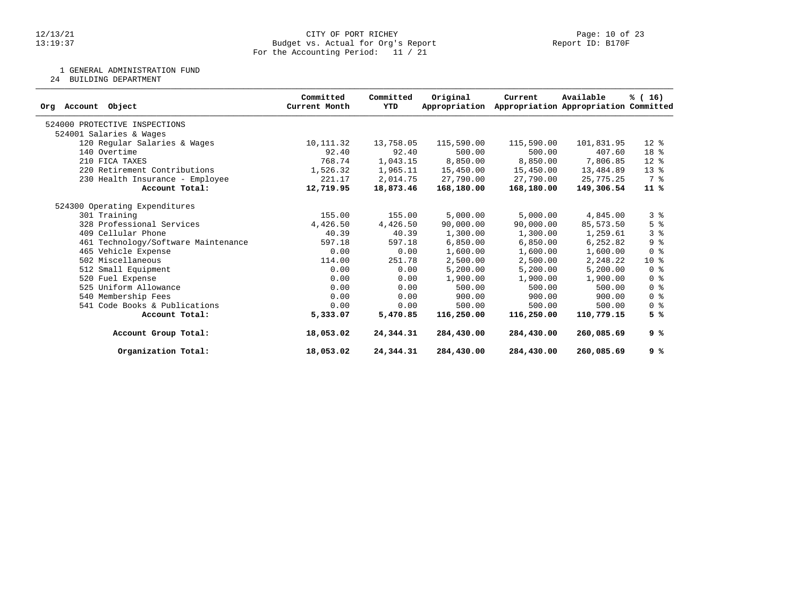### 12/13/21 CITY OF PORT RICHEY Page: 10 of 23 13:19:37 Budget vs. Actual for Org's Report Report ID: B170F For the Accounting Period: 11 / 21

1 GENERAL ADMINISTRATION FUND

24 BUILDING DEPARTMENT

| Object<br>Account<br>Org            | Committed<br>Current Month | Committed<br>YTD | Original<br>Appropriation | Current    | Available<br>Appropriation Appropriation Committed | % (16)                             |
|-------------------------------------|----------------------------|------------------|---------------------------|------------|----------------------------------------------------|------------------------------------|
| 524000 PROTECTIVE INSPECTIONS       |                            |                  |                           |            |                                                    |                                    |
| 524001 Salaries & Wages             |                            |                  |                           |            |                                                    |                                    |
| 120 Regular Salaries & Wages        | 10, 111.32                 | 13,758.05        | 115,590.00                | 115,590.00 | 101,831.95                                         | $12*$                              |
| 140 Overtime                        | 92.40                      | 92.40            | 500.00                    | 500.00     | 407.60                                             | 18 <sup>8</sup>                    |
| 210 FICA TAXES                      | 768.74                     | 1,043.15         | 8,850.00                  | 8,850.00   | 7,806.85                                           | $12*$                              |
| 220 Retirement Contributions        | 1,526.32                   | 1,965.11         | 15,450.00                 | 15,450.00  | 13,484.89                                          | $13*$                              |
| 230 Health Insurance - Employee     | 221.17                     | 2,014.75         | 27,790.00                 | 27,790.00  | 25,775.25                                          | 7 %                                |
| Account Total:                      | 12,719.95                  | 18,873.46        | 168,180.00                | 168,180.00 | 149,306.54                                         | $11*$                              |
| 524300 Operating Expenditures       |                            |                  |                           |            |                                                    |                                    |
| 301 Training                        | 155.00                     | 155.00           | 5,000.00                  | 5,000.00   | 4,845.00                                           | 3%                                 |
| 328 Professional Services           | 4,426.50                   | 4,426.50         | 90,000.00                 | 90,000.00  | 85,573.50                                          | 5 <sup>8</sup>                     |
| 409 Cellular Phone                  | 40.39                      | 40.39            | 1,300.00                  | 1,300.00   | 1,259.61                                           | 3 <sup>8</sup>                     |
| 461 Technology/Software Maintenance | 597.18                     | 597.18           | 6,850.00                  | 6,850.00   | 6,252.82                                           | 9 <sup>°</sup>                     |
| 465 Vehicle Expense                 | 0.00                       | 0.00             | 1,600.00                  | 1,600.00   | 1,600.00                                           | 0 <sup>8</sup>                     |
| 502 Miscellaneous                   | 114.00                     | 251.78           | 2,500.00                  | 2,500.00   | 2,248.22                                           | $10*$                              |
| 512 Small Equipment                 | 0.00                       | 0.00             | 5,200.00                  | 5,200.00   | 5,200.00                                           | 0 <sup>8</sup>                     |
| 520 Fuel Expense                    | 0.00                       | 0.00             | 1,900.00                  | 1,900.00   | 1,900.00                                           | 0 <sup>8</sup>                     |
| 525 Uniform Allowance               | 0.00                       | 0.00             | 500.00                    | 500.00     | 500.00                                             | 0 <sup>8</sup>                     |
| 540 Membership Fees                 | 0.00                       | 0.00             | 900.00                    | 900.00     | 900.00                                             | $0 \text{ }$ $\text{ }$ $\text{ }$ |
| 541 Code Books & Publications       | 0.00                       | 0.00             | 500.00                    | 500.00     | 500.00                                             | 0 <sup>8</sup>                     |
| Account Total:                      | 5,333.07                   | 5,470.85         | 116,250.00                | 116,250.00 | 110,779.15                                         | 5 %                                |
| Account Group Total:                | 18,053.02                  | 24,344.31        | 284,430.00                | 284,430.00 | 260,085.69                                         | 9 %                                |
| Organization Total:                 | 18,053.02                  | 24,344.31        | 284,430.00                | 284,430.00 | 260,085.69                                         | 9 %                                |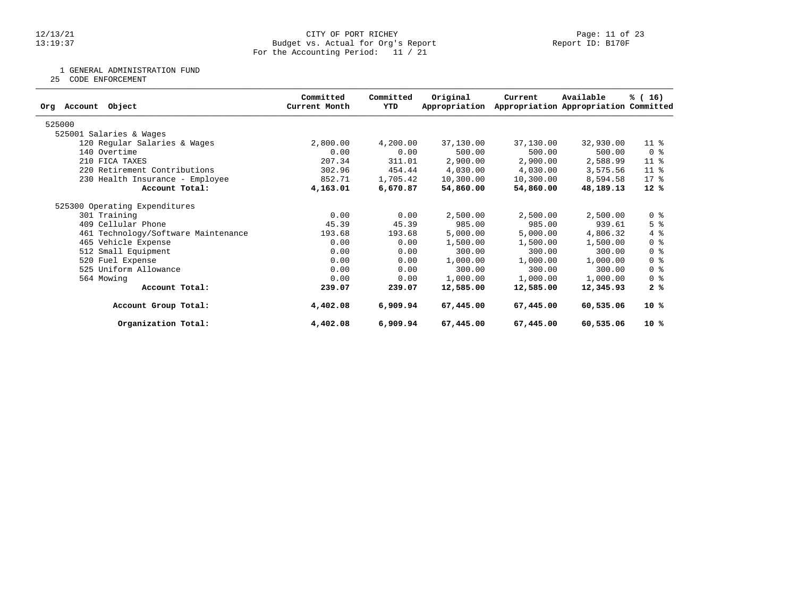### 12/13/21 CITY OF PORT RICHEY Page: 11 of 23 13:19:37 Budget vs. Actual for Org's Report Report ID: B170F For the Accounting Period: 11 / 21

1 GENERAL ADMINISTRATION FUND

25 CODE ENFORCEMENT

|                                     | Committed     | Committed | Original      | Current   | Available                             | % (16)          |
|-------------------------------------|---------------|-----------|---------------|-----------|---------------------------------------|-----------------|
| Object<br>Account<br>Org            | Current Month | YTD       | Appropriation |           | Appropriation Appropriation Committed |                 |
| 525000                              |               |           |               |           |                                       |                 |
| 525001 Salaries & Wages             |               |           |               |           |                                       |                 |
| 120 Regular Salaries & Wages        | 2,800.00      | 4,200.00  | 37,130.00     | 37,130.00 | 32,930.00                             | $11$ %          |
| 140 Overtime                        | 0.00          | 0.00      | 500.00        | 500.00    | 500.00                                | 0 <sup>8</sup>  |
| 210 FICA TAXES                      | 207.34        | 311.01    | 2,900.00      | 2,900.00  | 2,588.99                              | 11 <sup>°</sup> |
| 220 Retirement Contributions        | 302.96        | 454.44    | 4,030.00      | 4,030.00  | 3,575.56                              | 11 <sup>°</sup> |
| 230 Health Insurance - Employee     | 852.71        | 1,705.42  | 10,300.00     | 10,300.00 | 8,594.58                              | $17*$           |
| Account Total:                      | 4,163.01      | 6,670.87  | 54,860.00     | 54,860.00 | 48,189.13                             | $12*$           |
| 525300 Operating Expenditures       |               |           |               |           |                                       |                 |
| 301 Training                        | 0.00          | 0.00      | 2,500.00      | 2,500.00  | 2,500.00                              | 0 <sup>8</sup>  |
| 409 Cellular Phone                  | 45.39         | 45.39     | 985.00        | 985.00    | 939.61                                | 5 <sup>8</sup>  |
| 461 Technology/Software Maintenance | 193.68        | 193.68    | 5,000.00      | 5,000.00  | 4,806.32                              | $4\degree$      |
| 465 Vehicle Expense                 | 0.00          | 0.00      | 1,500.00      | 1,500.00  | 1,500.00                              | 0 <sup>8</sup>  |
| 512 Small Equipment                 | 0.00          | 0.00      | 300.00        | 300.00    | 300.00                                | 0 %             |
| 520 Fuel Expense                    | 0.00          | 0.00      | 1,000.00      | 1,000.00  | 1,000.00                              | 0 <sup>8</sup>  |
| 525 Uniform Allowance               | 0.00          | 0.00      | 300.00        | 300.00    | 300.00                                | 0 <sup>8</sup>  |
| 564 Mowing                          | 0.00          | 0.00      | 1,000.00      | 1,000.00  | 1,000.00                              | 0 <sup>8</sup>  |
| Account Total:                      | 239.07        | 239.07    | 12,585.00     | 12,585.00 | 12,345.93                             | 2%              |
| Account Group Total:                | 4,402.08      | 6,909.94  | 67,445.00     | 67,445.00 | 60,535.06                             | $10*$           |
| Organization Total:                 | 4,402.08      | 6,909.94  | 67,445.00     | 67,445.00 | 60,535.06                             | $10*$           |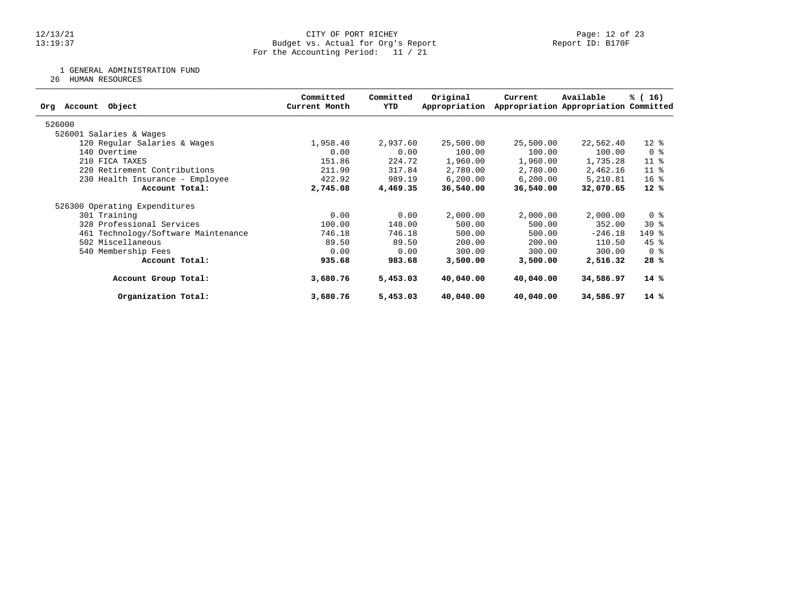### 12/13/21 CITY OF PORT RICHEY Page: 12 of 23 13:19:37 Budget vs. Actual for Org's Report Report ID: B170F For the Accounting Period: 11 / 21

1 GENERAL ADMINISTRATION FUND

26 HUMAN RESOURCES

| Object<br>Org Account               | Committed<br>Current Month | Committed<br>YTD | Original<br>Appropriation | Current   | Available<br>Appropriation Appropriation Committed | % (16)              |
|-------------------------------------|----------------------------|------------------|---------------------------|-----------|----------------------------------------------------|---------------------|
| 526000                              |                            |                  |                           |           |                                                    |                     |
| 526001 Salaries & Wages             |                            |                  |                           |           |                                                    |                     |
| 120 Regular Salaries & Wages        | 1,958.40                   | 2,937.60         | 25,500.00                 | 25,500.00 | 22,562.40                                          | $12*$               |
| 140 Overtime                        | 0.00                       | 0.00             | 100.00                    | 100.00    | 100.00                                             | 0 <sup>8</sup>      |
| 210 FICA TAXES                      | 151.86                     | 224.72           | 1,960.00                  | 1,960.00  | 1,735.28                                           | $11$ %              |
| 220 Retirement Contributions        | 211.90                     | 317.84           | 2,780.00                  | 2,780.00  | 2,462.16                                           | $11$ %              |
| 230 Health Insurance - Employee     | 422.92                     | 989.19           | 6, 200.00                 | 6, 200.00 | 5,210.81                                           | 16 <sup>8</sup>     |
| Account Total:                      | 2,745.08                   | 4,469.35         | 36,540.00                 | 36,540.00 | 32,070.65                                          | $12*$               |
| 526300 Operating Expenditures       |                            |                  |                           |           |                                                    |                     |
| 301 Training                        | 0.00                       | 0.00             | 2,000.00                  | 2,000.00  | 2,000.00                                           | 0 <sup>8</sup>      |
| 328 Professional Services           | 100.00                     | 148.00           | 500.00                    | 500.00    | 352.00                                             | $30*$               |
| 461 Technology/Software Maintenance | 746.18                     | 746.18           | 500.00                    | 500.00    | $-246.18$                                          | $149$ $\frac{6}{5}$ |
| 502 Miscellaneous                   | 89.50                      | 89.50            | 200.00                    | 200.00    | 110.50                                             | $45$ %              |
| 540 Membership Fees                 | 0.00                       | 0.00             | 300.00                    | 300.00    | 300.00                                             | 0 <sup>8</sup>      |
| Account Total:                      | 935.68                     | 983.68           | 3,500.00                  | 3,500.00  | 2,516.32                                           | 28%                 |
| Account Group Total:                | 3,680.76                   | 5,453.03         | 40,040.00                 | 40,040.00 | 34,586.97                                          | $14*$               |
| Organization Total:                 | 3,680.76                   | 5,453.03         | 40,040.00                 | 40,040.00 | 34,586.97                                          | $14*$               |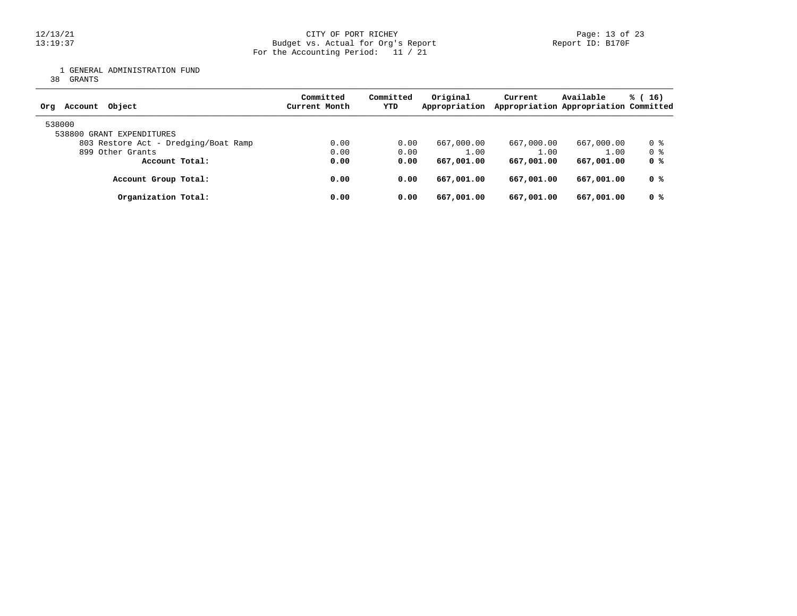1 GENERAL ADMINISTRATION FUND

38 GRANTS

| Object<br>Account<br>Org             | Committed<br>Current Month | Committed<br>YTD | Original<br>Appropriation | Current    | Available<br>Appropriation Appropriation Committed | $\frac{1}{6}$ (16) |
|--------------------------------------|----------------------------|------------------|---------------------------|------------|----------------------------------------------------|--------------------|
| 538000<br>538800 GRANT EXPENDITURES  |                            |                  |                           |            |                                                    |                    |
| 803 Restore Act - Dredging/Boat Ramp | 0.00                       | 0.00             | 667,000.00                | 667,000.00 | 667,000.00                                         | 0 %                |
| 899 Other Grants                     | 0.00                       | 0.00             | 1.00                      | 1.00       | 1.00                                               | 0 %                |
| Account Total:                       | 0.00                       | 0.00             | 667,001.00                | 667,001,00 | 667,001.00                                         | 0 %                |
| Account Group Total:                 | 0.00                       | 0.00             | 667,001.00                | 667,001.00 | 667,001.00                                         | 0 %                |
| Organization Total:                  | 0.00                       | 0.00             | 667,001.00                | 667,001.00 | 667,001.00                                         | 0 %                |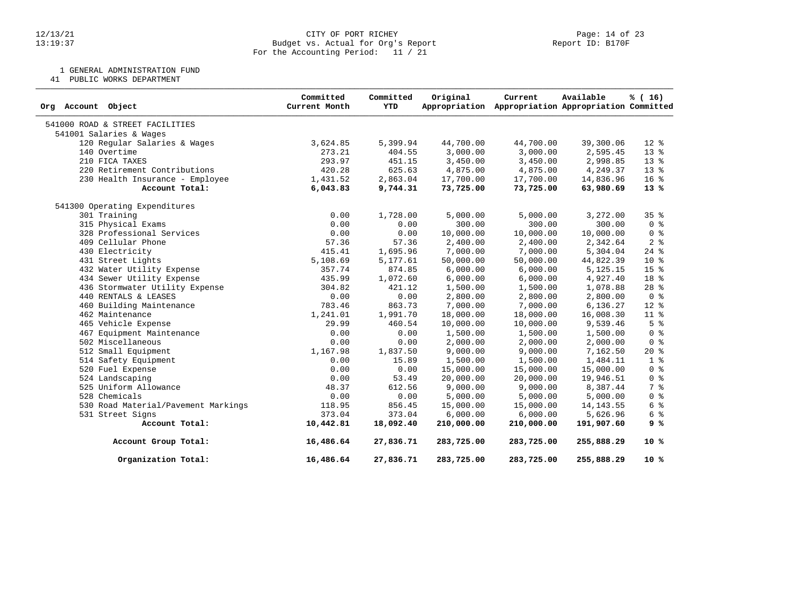### 12/13/21 CITY OF PORT RICHEY Page: 14 of 23 13:19:37 Budget vs. Actual for Org's Report Report ID: B170F For the Accounting Period: 11 / 21

1 GENERAL ADMINISTRATION FUND

41 PUBLIC WORKS DEPARTMENT

| Org Account Object                  | Committed<br>Current Month | Committed<br><b>YTD</b> | Original   | Current<br>Appropriation Appropriation Appropriation Committed | Available  | % (16)          |
|-------------------------------------|----------------------------|-------------------------|------------|----------------------------------------------------------------|------------|-----------------|
| 541000 ROAD & STREET FACILITIES     |                            |                         |            |                                                                |            |                 |
| 541001 Salaries & Wages             |                            |                         |            |                                                                |            |                 |
| 120 Regular Salaries & Wages        | 3,624.85                   | 5,399.94                | 44,700.00  | 44,700.00                                                      | 39,300.06  | $12*$           |
| 140 Overtime                        | 273.21                     | 404.55                  | 3,000.00   | 3,000.00                                                       | 2,595.45   | 13 <sup>°</sup> |
| 210 FICA TAXES                      | 293.97                     | 451.15                  | 3,450.00   | 3,450.00                                                       | 2,998.85   | 13 %            |
| 220 Retirement Contributions        | 420.28                     | 625.63                  | 4,875.00   | 4,875.00                                                       | 4,249.37   | $13*$           |
| 230 Health Insurance - Employee     | 1,431.52                   | 2,863.04                | 17,700.00  | 17,700.00                                                      | 14,836.96  | 16 <sup>8</sup> |
| Account Total:                      | 6,043.83                   | 9,744.31                | 73,725.00  | 73,725.00                                                      | 63,980.69  | $13*$           |
| 541300 Operating Expenditures       |                            |                         |            |                                                                |            |                 |
| 301 Training                        | 0.00                       | 1,728.00                | 5,000.00   | 5,000.00                                                       | 3,272.00   | 35 <sup>8</sup> |
| 315 Physical Exams                  | 0.00                       | 0.00                    | 300.00     | 300.00                                                         | 300.00     | 0 <sup>8</sup>  |
| 328 Professional Services           | 0.00                       | 0.00                    | 10,000.00  | 10,000.00                                                      | 10,000.00  | 0 <sup>8</sup>  |
| 409 Cellular Phone                  | 57.36                      | 57.36                   | 2,400.00   | 2,400.00                                                       | 2,342.64   | 2 <sup>°</sup>  |
| 430 Electricity                     | 415.41                     | 1,695.96                | 7,000.00   | 7,000.00                                                       | 5,304.04   | $24$ $%$        |
| 431 Street Lights                   | 5,108.69                   | 5,177.61                | 50,000.00  | 50,000.00                                                      | 44,822.39  | 10 <sup>°</sup> |
| 432 Water Utility Expense           | 357.74                     | 874.85                  | 6,000.00   | 6,000.00                                                       | 5,125.15   | 15 %            |
| 434 Sewer Utility Expense           | 435.99                     | 1,072.60                | 6,000.00   | 6,000.00                                                       | 4,927.40   | 18 %            |
| 436 Stormwater Utility Expense      | 304.82                     | 421.12                  | 1,500.00   | 1,500.00                                                       | 1,078.88   | 28 <sup>8</sup> |
| 440 RENTALS & LEASES                | 0.00                       | 0.00                    | 2,800.00   | 2,800.00                                                       | 2,800.00   | 0 <sup>8</sup>  |
| 460 Building Maintenance            | 783.46                     | 863.73                  | 7,000.00   | 7,000.00                                                       | 6,136.27   | 12 %            |
| 462 Maintenance                     | 1,241.01                   | 1,991.70                | 18,000.00  | 18,000.00                                                      | 16,008.30  | $11$ %          |
| 465 Vehicle Expense                 | 29.99                      | 460.54                  | 10,000.00  | 10,000.00                                                      | 9,539.46   | 5 <sup>8</sup>  |
| 467 Equipment Maintenance           | 0.00                       | 0.00                    | 1,500.00   | 1,500.00                                                       | 1,500.00   | 0 <sup>8</sup>  |
| 502 Miscellaneous                   | 0.00                       | 0.00                    | 2,000.00   | 2,000.00                                                       | 2,000.00   | 0 <sup>8</sup>  |
| 512 Small Equipment                 | 1,167.98                   | 1,837.50                | 9,000.00   | 9,000.00                                                       | 7,162.50   | $20*$           |
| 514 Safety Equipment                | 0.00                       | 15.89                   | 1,500.00   | 1,500.00                                                       | 1,484.11   | 1 <sup>8</sup>  |
| 520 Fuel Expense                    | 0.00                       | 0.00                    | 15,000.00  | 15,000.00                                                      | 15,000.00  | 0 <sup>8</sup>  |
| 524 Landscaping                     | 0.00                       | 53.49                   | 20,000.00  | 20,000.00                                                      | 19,946.51  | 0 <sup>8</sup>  |
| 525 Uniform Allowance               | 48.37                      | 612.56                  | 9,000.00   | 9,000.00                                                       | 8,387.44   | 7 %             |
| 528 Chemicals                       | 0.00                       | 0.00                    | 5,000.00   | 5,000.00                                                       | 5,000.00   | 0 <sup>8</sup>  |
| 530 Road Material/Pavement Markings | 118.95                     | 856.45                  | 15,000.00  | 15,000.00                                                      | 14, 143.55 | 6 %             |
| 531 Street Signs                    | 373.04                     | 373.04                  | 6,000.00   | 6,000.00                                                       | 5,626.96   | 6 %             |
| Account Total:                      | 10,442.81                  | 18,092.40               | 210,000.00 | 210,000.00                                                     | 191,907.60 | 9 %             |
| Account Group Total:                | 16,486.64                  | 27,836.71               | 283,725.00 | 283,725.00                                                     | 255,888.29 | $10*$           |
| Organization Total:                 | 16,486.64                  | 27,836.71               | 283,725.00 | 283,725.00                                                     | 255,888.29 | $10*$           |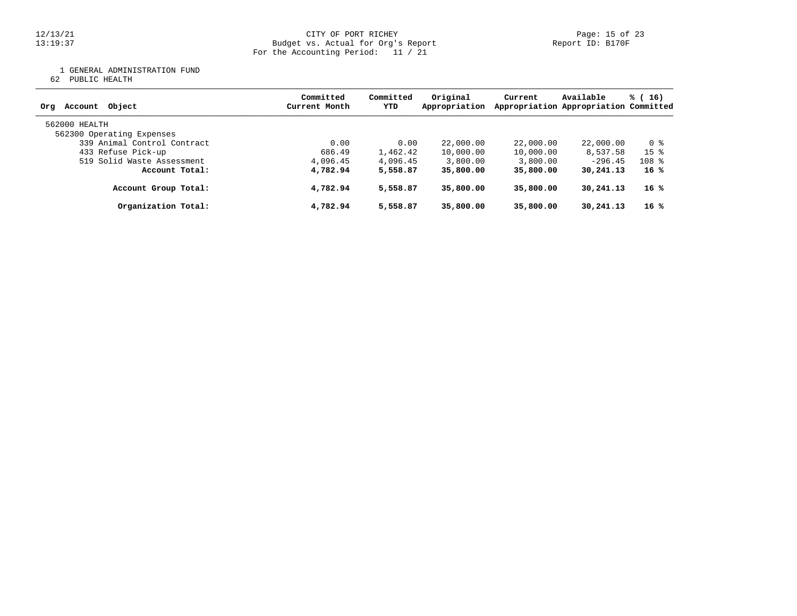12/13/21 CITY OF PORT RICHEY Page: 15 of 23 13:19:37 Budget vs. Actual for Org's Report Report ID: B170F For the Accounting Period: 11 / 21

1 GENERAL ADMINISTRATION FUND

62 PUBLIC HEALTH

| Object<br>Account<br>Org                   | Committed<br>Current Month | Committed<br>YTD | Original<br>Appropriation | Current   | Available<br>Appropriation Appropriation Committed | $\frac{16}{3}$ (16) |
|--------------------------------------------|----------------------------|------------------|---------------------------|-----------|----------------------------------------------------|---------------------|
| 562000 HEALTH<br>562300 Operating Expenses |                            |                  |                           |           |                                                    |                     |
| 339 Animal Control Contract                | 0.00                       | 0.00             | 22,000.00                 | 22,000.00 | 22,000.00                                          | 0 %                 |
| 433 Refuse Pick-up                         | 686.49                     | 1,462.42         | 10,000.00                 | 10,000.00 | 8,537.58                                           | 15 <sup>8</sup>     |
| 519 Solid Waste Assessment                 | 4,096.45                   | 4,096.45         | 3,800.00                  | 3,800.00  | $-296.45$                                          | $108$ %             |
| Account Total:                             | 4,782.94                   | 5,558.87         | 35,800.00                 | 35,800,00 | 30,241.13                                          | 16 %                |
| Account Group Total:                       | 4,782.94                   | 5,558.87         | 35,800,00                 | 35,800,00 | 30,241.13                                          | 16 %                |
| Organization Total:                        | 4,782.94                   | 5,558.87         | 35,800.00                 | 35,800,00 | 30,241.13                                          | 16 %                |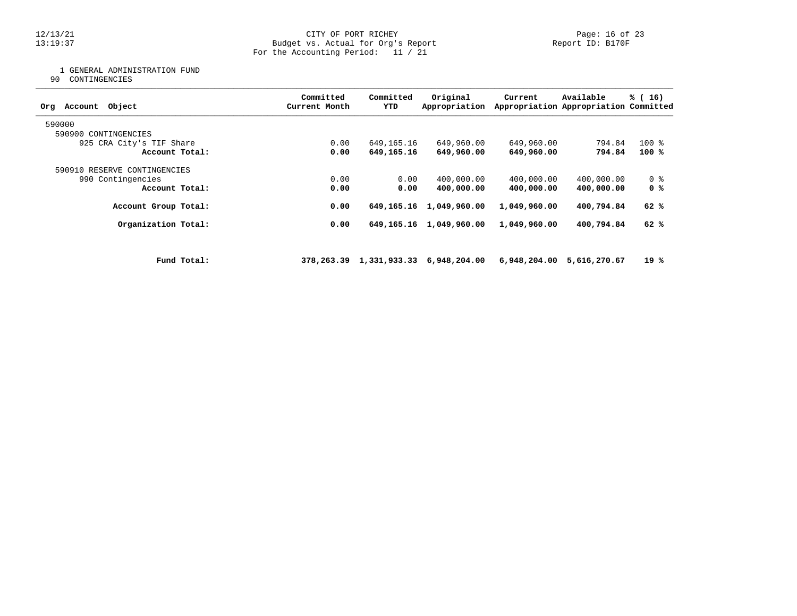12/13/21 CITY OF PORT RICHEY Page: 16 of 23 13:19:37 Budget vs. Actual for Org's Report Report ID: B170F For the Accounting Period: 11 / 21

1 GENERAL ADMINISTRATION FUND

90 CONTINGENCIES

| Object<br>Account<br>Org     |             | Committed<br>Current Month | Committed<br>YTD | Original<br>Appropriation                 | Current      | Available<br>Appropriation Appropriation Committed | % (16)         |
|------------------------------|-------------|----------------------------|------------------|-------------------------------------------|--------------|----------------------------------------------------|----------------|
| 590000                       |             |                            |                  |                                           |              |                                                    |                |
| 590900 CONTINGENCIES         |             |                            |                  |                                           |              |                                                    |                |
| 925 CRA City's TIF Share     |             | 0.00                       | 649,165.16       | 649,960.00                                | 649,960.00   | 794.84                                             | $100*$         |
| Account Total:               |             | 0.00                       | 649,165.16       | 649,960.00                                | 649,960.00   | 794.84                                             | 100%           |
| 590910 RESERVE CONTINGENCIES |             |                            |                  |                                           |              |                                                    |                |
| 990 Contingencies            |             | 0.00                       | 0.00             | 400,000.00                                | 400,000.00   | 400,000.00                                         | 0 <sub>8</sub> |
| Account Total:               |             | 0.00                       | 0.00             | 400,000.00                                | 400,000.00   | 400,000.00                                         | 0 %            |
| Account Group Total:         |             | 0.00                       | 649,165.16       | 1,049,960.00                              | 1,049,960.00 | 400,794.84                                         | 62 %           |
| Organization Total:          |             | 0.00                       |                  | 649, 165. 16 1, 049, 960. 00              | 1,049,960.00 | 400,794.84                                         | 62 %           |
|                              |             |                            |                  |                                           |              |                                                    |                |
|                              | Fund Total: |                            |                  | 378, 263.39 1, 331, 933.33 6, 948, 204.00 |              | 6,948,204.00 5,616,270.67                          | 19 %           |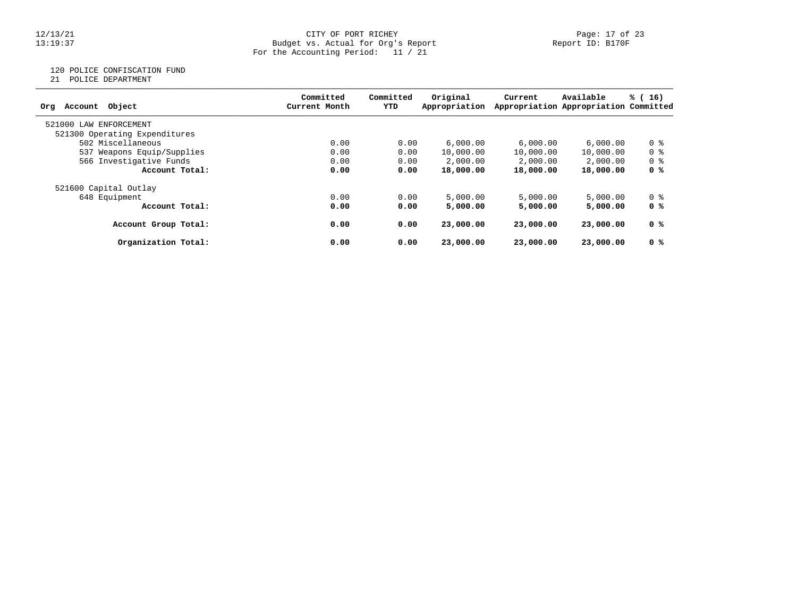### 12/13/21 CITY OF PORT RICHEY Page: 17 of 23 13:19:37 Budget vs. Actual for Org's Report Report ID: B170F For the Accounting Period: 11 / 21

# 120 POLICE CONFISCATION FUND

21 POLICE DEPARTMENT

| Object<br>Account<br>Org      | Committed<br>Current Month | Committed<br>YTD | Original<br>Appropriation | Current   | Available<br>Appropriation Appropriation Committed | % (16)         |
|-------------------------------|----------------------------|------------------|---------------------------|-----------|----------------------------------------------------|----------------|
| 521000 LAW ENFORCEMENT        |                            |                  |                           |           |                                                    |                |
| 521300 Operating Expenditures |                            |                  |                           |           |                                                    |                |
| 502 Miscellaneous             | 0.00                       | 0.00             | 6,000.00                  | 6,000.00  | 6,000.00                                           | 0 <sup>8</sup> |
| 537 Weapons Equip/Supplies    | 0.00                       | 0.00             | 10,000.00                 | 10,000.00 | 10,000.00                                          | 0 <sup>8</sup> |
| 566 Investigative Funds       | 0.00                       | 0.00             | 2,000.00                  | 2,000.00  | 2,000.00                                           | 0 <sup>8</sup> |
| Account Total:                | 0.00                       | 0.00             | 18,000.00                 | 18,000.00 | 18,000.00                                          | 0 %            |
| 521600 Capital Outlay         |                            |                  |                           |           |                                                    |                |
| 648 Equipment                 | 0.00                       | 0.00             | 5,000.00                  | 5,000.00  | 5,000.00                                           | 0 %            |
| Account Total:                | 0.00                       | 0.00             | 5,000.00                  | 5,000.00  | 5,000.00                                           | 0 %            |
| Account Group Total:          | 0.00                       | 0.00             | 23,000.00                 | 23,000.00 | 23,000.00                                          | 0 %            |
| Organization Total:           | 0.00                       | 0.00             | 23,000.00                 | 23,000.00 | 23,000.00                                          | 0 %            |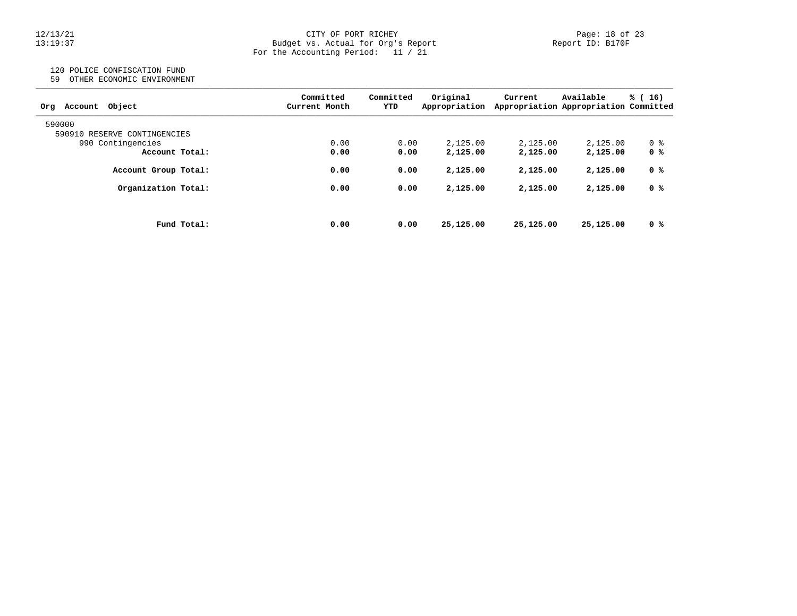### 12/13/21 CITY OF PORT RICHEY Page: 18 of 23 13:19:37 Budget vs. Actual for Org's Report Report ID: B170F For the Accounting Period: 11 / 21

# 120 POLICE CONFISCATION FUND

59 OTHER ECONOMIC ENVIRONMENT

| Object<br>Account<br>Org     | Committed<br>Current Month | Committed<br>YTD | Original<br>Appropriation | Current   | Available<br>Appropriation Appropriation Committed | % (16) |
|------------------------------|----------------------------|------------------|---------------------------|-----------|----------------------------------------------------|--------|
| 590000                       |                            |                  |                           |           |                                                    |        |
| 590910 RESERVE CONTINGENCIES |                            |                  |                           |           |                                                    |        |
| 990 Contingencies            | 0.00                       | 0.00             | 2,125.00                  | 2,125.00  | 2,125.00                                           | 0 %    |
| Account Total:               | 0.00                       | 0.00             | 2,125.00                  | 2,125.00  | 2,125.00                                           | 0 %    |
| Account Group Total:         | 0.00                       | 0.00             | 2,125.00                  | 2,125.00  | 2,125.00                                           | 0 %    |
| Organization Total:          | 0.00                       | 0.00             | 2,125.00                  | 2,125.00  | 2,125.00                                           | 0 %    |
|                              |                            |                  |                           |           |                                                    |        |
| Fund Total:                  | 0.00                       | 0.00             | 25,125.00                 | 25,125.00 | 25,125.00                                          | 0 %    |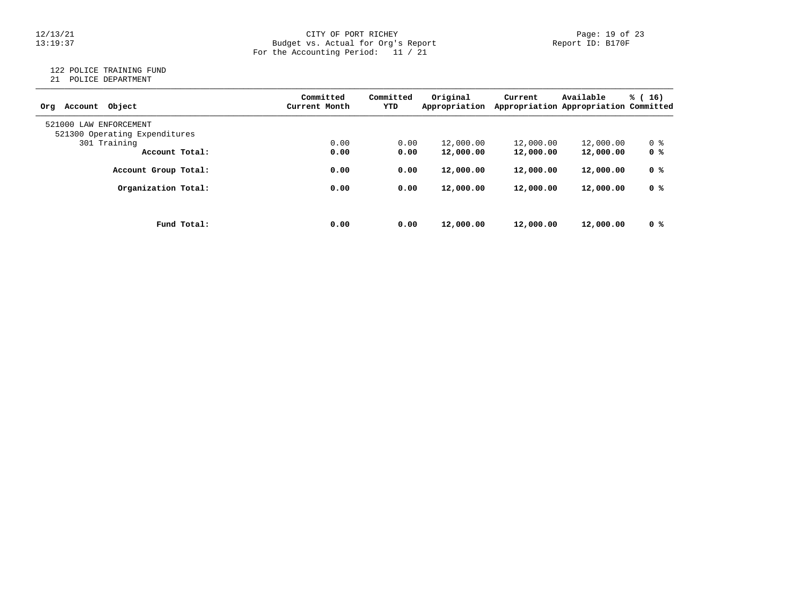# $12/13/21$  Page: 19 of 23<br>Budget vs. Actual for Org's Report Page: 19 of 23<br>Report ID: B170F 13:19:37 Budget vs. Actual for Org's Report Report ID: B170F For the Accounting Period: 11 / 21

## 122 POLICE TRAINING FUND

21 POLICE DEPARTMENT

| Object<br>Account<br>Orq      | Committed<br>Current Month | Committed<br>YTD | Original<br>Appropriation | Current   | Available<br>Appropriation Appropriation Committed | % (16) |
|-------------------------------|----------------------------|------------------|---------------------------|-----------|----------------------------------------------------|--------|
| 521000<br>LAW ENFORCEMENT     |                            |                  |                           |           |                                                    |        |
| 521300 Operating Expenditures |                            |                  |                           |           |                                                    |        |
| 301 Training                  | 0.00                       | 0.00             | 12,000.00                 | 12,000.00 | 12,000.00                                          | 0 %    |
| Account Total:                | 0.00                       | 0.00             | 12,000.00                 | 12,000.00 | 12,000.00                                          | 0 %    |
| Account Group Total:          | 0.00                       | 0.00             | 12,000.00                 | 12,000.00 | 12,000.00                                          | 0 %    |
| Organization Total:           | 0.00                       | 0.00             | 12,000.00                 | 12,000.00 | 12,000.00                                          | 0 %    |
|                               |                            |                  |                           |           |                                                    |        |
| Fund Total:                   | 0.00                       | 0.00             | 12,000.00                 | 12,000.00 | 12,000.00                                          | 0 %    |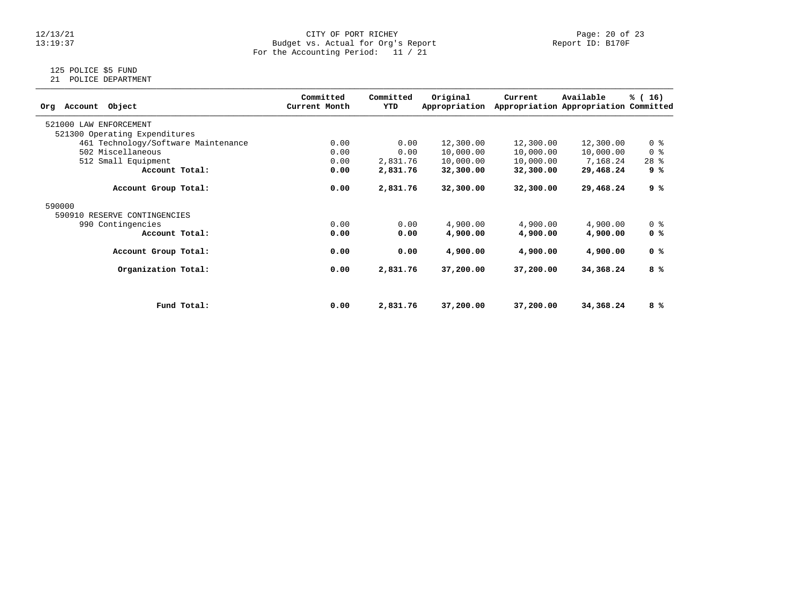# $12/13/21$  Page: 20 of 23<br>Budget vs. Actual for Org's Report Page: 20 of 23<br>Report ID: B170F 13:19:37 Budget vs. Actual for Org's Report Report ID: B170F For the Accounting Period: 11 / 21

# 125 POLICE \$5 FUND

21 POLICE DEPARTMENT

| Object<br>Account<br>Org            | Committed<br>Current Month | Committed<br>YTD | Original<br>Appropriation | Current   | Available<br>Appropriation Appropriation Committed | % (16)         |
|-------------------------------------|----------------------------|------------------|---------------------------|-----------|----------------------------------------------------|----------------|
| 521000 LAW ENFORCEMENT              |                            |                  |                           |           |                                                    |                |
| 521300 Operating Expenditures       |                            |                  |                           |           |                                                    |                |
| 461 Technology/Software Maintenance | 0.00                       | 0.00             | 12,300.00                 | 12,300.00 | 12,300.00                                          | 0 <sup>8</sup> |
| 502 Miscellaneous                   | 0.00                       | 0.00             | 10,000.00                 | 10,000.00 | 10,000.00                                          | 0 <sup>8</sup> |
| 512 Small Equipment                 | 0.00                       | 2,831.76         | 10,000.00                 | 10,000.00 | 7,168.24                                           | $28$ %         |
| Account Total:                      | 0.00                       | 2,831.76         | 32,300.00                 | 32,300.00 | 29,468.24                                          | 9 %            |
| Account Group Total:                | 0.00                       | 2,831.76         | 32,300.00                 | 32,300.00 | 29,468.24                                          | 9 %            |
| 590000                              |                            |                  |                           |           |                                                    |                |
| 590910 RESERVE CONTINGENCIES        |                            |                  |                           |           |                                                    |                |
| 990 Contingencies                   | 0.00                       | 0.00             | 4,900.00                  | 4,900.00  | 4,900.00                                           | 0 <sup>8</sup> |
| Account Total:                      | 0.00                       | 0.00             | 4,900.00                  | 4,900.00  | 4,900.00                                           | 0 <sup>8</sup> |
| Account Group Total:                | 0.00                       | 0.00             | 4,900.00                  | 4,900.00  | 4,900.00                                           | 0 <sup>8</sup> |
| Organization Total:                 | 0.00                       | 2,831.76         | 37,200.00                 | 37,200.00 | 34,368.24                                          | 8 %            |
|                                     |                            |                  |                           |           |                                                    |                |
| Fund Total:                         | 0.00                       | 2,831.76         | 37,200.00                 | 37,200.00 | 34,368.24                                          | 8 %            |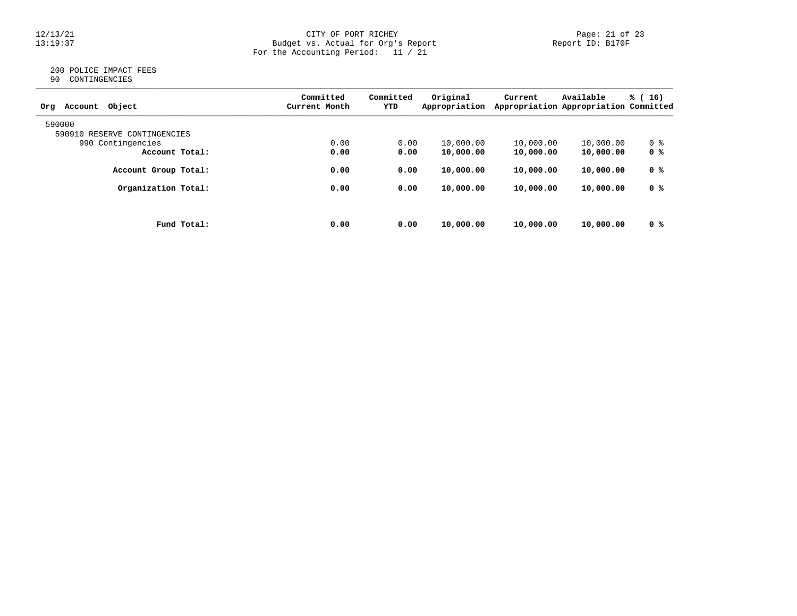### 12/13/21 CITY OF PORT RICHEY Page: 21 of 23 13:19:37 Budget vs. Actual for Org's Report Report ID: B170F For the Accounting Period: 11 / 21

## 200 POLICE IMPACT FEES 90 CONTINGENCIES

| Object<br>Account<br>Org     | Committed<br>Current Month | Committed<br>YTD | Original<br>Appropriation | Current   | Available<br>Appropriation Appropriation Committed | % (16) |
|------------------------------|----------------------------|------------------|---------------------------|-----------|----------------------------------------------------|--------|
| 590000                       |                            |                  |                           |           |                                                    |        |
| 590910 RESERVE CONTINGENCIES |                            |                  |                           |           |                                                    |        |
| 990 Contingencies            | 0.00                       | 0.00             | 10,000.00                 | 10,000.00 | 10,000.00                                          | 0 %    |
| Account Total:               | 0.00                       | 0.00             | 10,000.00                 | 10,000.00 | 10,000.00                                          | 0 %    |
| Account Group Total:         | 0.00                       | 0.00             | 10,000.00                 | 10,000.00 | 10,000.00                                          | 0 %    |
| Organization Total:          | 0.00                       | 0.00             | 10,000.00                 | 10,000.00 | 10,000.00                                          | 0 %    |
|                              |                            |                  |                           |           |                                                    |        |
| Fund Total:                  | 0.00                       | 0.00             | 10,000.00                 | 10,000.00 | 10,000.00                                          | 0 %    |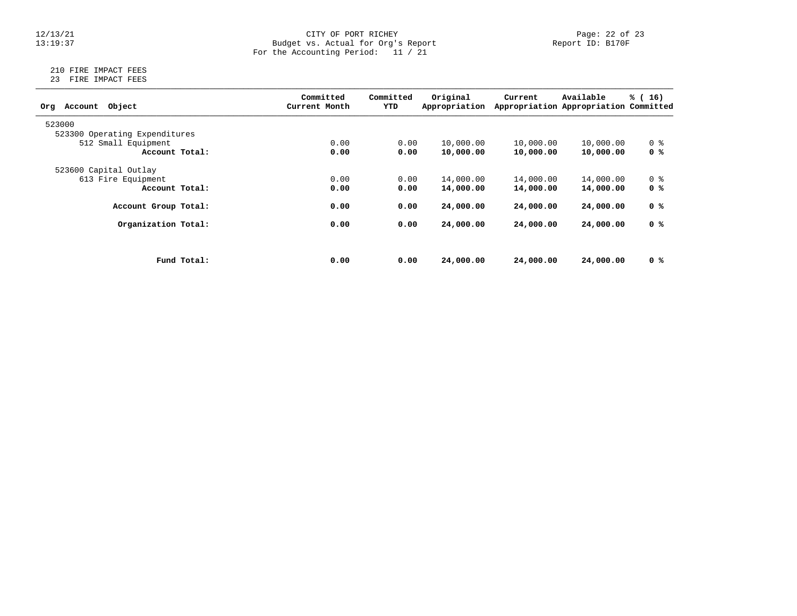### 12/13/21 CITY OF PORT RICHEY Page: 22 of 23 13:19:37 Budget vs. Actual for Org's Report Report ID: B170F For the Accounting Period: 11 / 21

## 210 FIRE IMPACT FEES 23 FIRE IMPACT FEES

| Object<br>Account<br>Org      |             | Committed<br>Current Month | Committed<br>YTD | Original<br>Appropriation | Current   | Available<br>Appropriation Appropriation Committed | % (16)         |
|-------------------------------|-------------|----------------------------|------------------|---------------------------|-----------|----------------------------------------------------|----------------|
| 523000                        |             |                            |                  |                           |           |                                                    |                |
| 523300 Operating Expenditures |             |                            |                  |                           |           |                                                    |                |
| 512 Small Equipment           |             | 0.00                       | 0.00             | 10,000.00                 | 10,000.00 | 10,000.00                                          | 0 %            |
| Account Total:                |             | 0.00                       | 0.00             | 10,000.00                 | 10,000.00 | 10,000.00                                          | 0 %            |
| 523600 Capital Outlay         |             |                            |                  |                           |           |                                                    |                |
| 613 Fire Equipment            |             | 0.00                       | 0.00             | 14,000.00                 | 14,000.00 | 14,000.00                                          | 0 <sup>8</sup> |
| Account Total:                |             | 0.00                       | 0.00             | 14,000.00                 | 14,000.00 | 14,000.00                                          | 0 %            |
| Account Group Total:          |             | 0.00                       | 0.00             | 24,000.00                 | 24,000.00 | 24,000.00                                          | 0 %            |
| Organization Total:           |             | 0.00                       | 0.00             | 24,000.00                 | 24,000.00 | 24,000.00                                          | 0 %            |
|                               |             |                            |                  |                           |           |                                                    |                |
|                               | Fund Total: | 0.00                       | 0.00             | 24,000.00                 | 24,000.00 | 24,000.00                                          | 0 %            |
|                               |             |                            |                  |                           |           |                                                    |                |